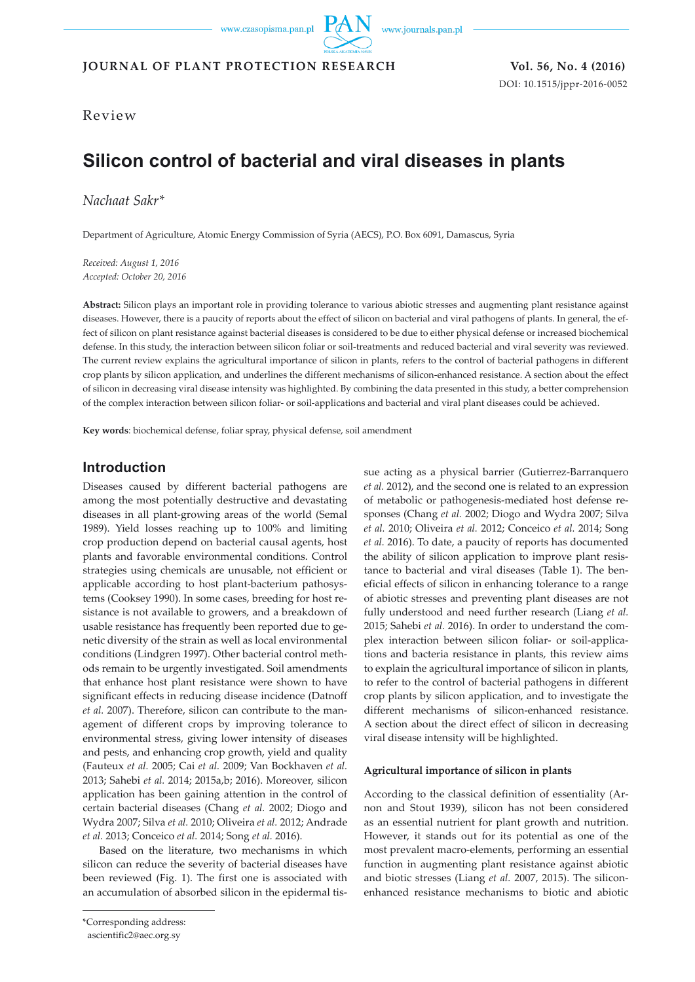www.journals.pan.pl

**JOURNAL OF PLANT PROTECTION RESEARCH Vol. 56, No. 4 (2016)**

DOI: 10.1515/jppr-2016-0052

Review

# **Silicon control of bacterial and viral diseases in plants**

*Nachaat Sakr\**

Department of Agriculture, Atomic Energy Commission of Syria (AECS), P.O. Box 6091, Damascus, Syria

*Received: August 1, 2016 Accepted: October 20, 2016*

**Abstract:** Silicon plays an important role in providing tolerance to various abiotic stresses and augmenting plant resistance against diseases. However, there is a paucity of reports about the effect of silicon on bacterial and viral pathogens of plants. In general, the effect of silicon on plant resistance against bacterial diseases is considered to be due to either physical defense or increased biochemical defense. In this study, the interaction between silicon foliar or soil-treatments and reduced bacterial and viral severity was reviewed. The current review explains the agricultural importance of silicon in plants, refers to the control of bacterial pathogens in different crop plants by silicon application, and underlines the different mechanisms of silicon-enhanced resistance. A section about the effect of silicon in decreasing viral disease intensity was highlighted. By combining the data presented in this study, a better comprehension of the complex interaction between silicon foliar- or soil-applications and bacterial and viral plant diseases could be achieved.

**Key words**: biochemical defense, foliar spray, physical defense, soil amendment

# **Introduction**

Diseases caused by different bacterial pathogens are among the most potentially destructive and devastating diseases in all plant-growing areas of the world (Semal 1989). Yield losses reaching up to 100% and limiting crop production depend on bacterial causal agents, host plants and favorable environmental conditions. Control strategies using chemicals are unusable, not efficient or applicable according to host plant-bacterium pathosystems (Cooksey 1990). In some cases, breeding for host resistance is not available to growers, and a breakdown of usable resistance has frequently been reported due to genetic diversity of the strain as well as local environmental conditions (Lindgren 1997). Other bacterial control methods remain to be urgently investigated. Soil amendments that enhance host plant resistance were shown to have significant effects in reducing disease incidence (Datnoff *et al.* 2007). Therefore, silicon can contribute to the management of different crops by improving tolerance to environmental stress, giving lower intensity of diseases and pests, and enhancing crop growth, yield and quality (Fauteux *et al.* 2005; Cai *et al.* 2009; Van Bockhaven *et al.* 2013; Sahebi *et al.* 2014; 2015a,b; 2016). Moreover, silicon application has been gaining attention in the control of certain bacterial diseases (Chang *et al.* 2002; Diogo and Wydra 2007; Silva *et al.* 2010; Oliveira *et al.* 2012; Andrade *et al.* 2013; Conceico *et al.* 2014; Song *et al.* 2016).

Based on the literature, two mechanisms in which silicon can reduce the severity of bacterial diseases have been reviewed (Fig. 1). The first one is associated with an accumulation of absorbed silicon in the epidermal tis-

\*Corresponding address:

sue acting as a physical barrier (Gutierrez-Barranquero *et al.* 2012), and the second one is related to an expression of metabolic or pathogenesis-mediated host defense responses (Chang *et al.* 2002; Diogo and Wydra 2007; Silva *et al.* 2010; Oliveira *et al.* 2012; Conceico *et al.* 2014; Song *et al.* 2016). To date, a paucity of reports has documented the ability of silicon application to improve plant resistance to bacterial and viral diseases (Table 1). The beneficial effects of silicon in enhancing tolerance to a range of abiotic stresses and preventing plant diseases are not fully understood and need further research (Liang *et al.* 2015; Sahebi *et al.* 2016). In order to understand the complex interaction between silicon foliar- or soil-applications and bacteria resistance in plants, this review aims to explain the agricultural importance of silicon in plants, to refer to the control of bacterial pathogens in different crop plants by silicon application, and to investigate the different mechanisms of silicon-enhanced resistance. A section about the direct effect of silicon in decreasing viral disease intensity will be highlighted.

#### **Agricultural importance of silicon in plants**

According to the classical definition of essentiality (Arnon and Stout 1939), silicon has not been considered as an essential nutrient for plant growth and nutrition. However, it stands out for its potential as one of the most prevalent macro-elements, performing an essential function in augmenting plant resistance against abiotic and biotic stresses (Liang *et al.* 2007, 2015). The siliconenhanced resistance mechanisms to biotic and abiotic

ascientific2@aec.org.sy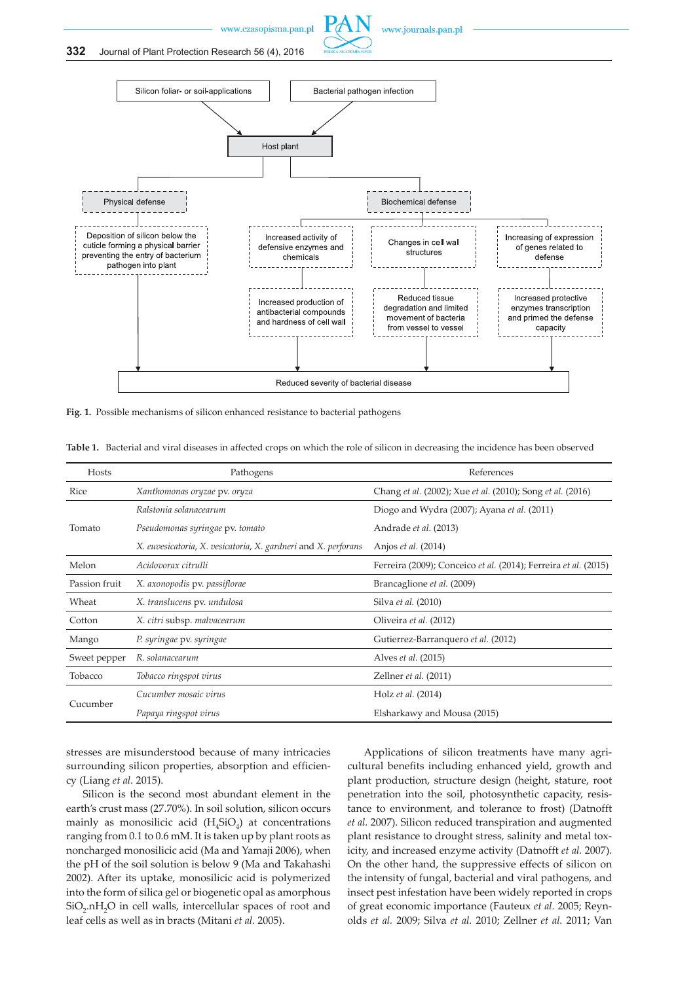



**Fig. 1.** Possible mechanisms of silicon enhanced resistance to bacterial pathogens

| Hosts         | Pathogens                                                      | References                                                      |
|---------------|----------------------------------------------------------------|-----------------------------------------------------------------|
| Rice          | Xanthomonas oryzae pv. oryza                                   | Chang et al. (2002); Xue et al. (2010); Song et al. (2016)      |
| Tomato        | Ralstonia solanacearum                                         | Diogo and Wydra (2007); Ayana et al. (2011)                     |
|               | Pseudomonas syringae pv. tomato                                | Andrade et al. (2013)                                           |
|               | X. euvesicatoria, X. vesicatoria, X. gardneri and X. perforans | Anjos <i>et al.</i> (2014)                                      |
| Melon         | Acidovorax citrulli                                            | Ferreira (2009); Conceico et al. (2014); Ferreira et al. (2015) |
| Passion fruit | X. axonopodis pv. passiflorae                                  | Brancaglione et al. (2009)                                      |
| Wheat         | X. translucens pv. undulosa                                    | Silva et al. (2010)                                             |
| Cotton        | X. citri subsp. malvacearum                                    | Oliveira et al. (2012)                                          |
| Mango         | P. syringae pv. syringae                                       | Gutierrez-Barranquero et al. (2012)                             |
| Sweet pepper  | R. solanacearum                                                | Alves <i>et al.</i> (2015)                                      |
| Tobacco       | Tobacco ringspot virus                                         | Zellner et al. (2011)                                           |
| Cucumber      | Cucumber mosaic virus                                          | Holz et al. (2014)                                              |
|               | Papaya ringspot virus                                          | Elsharkawy and Mousa (2015)                                     |

**Table 1.** Bacterial and viral diseases in affected crops on which the role of silicon in decreasing the incidence has been observed

stresses are misunderstood because of many intricacies surrounding silicon properties, absorption and efficiency (Liang *et al.* 2015).

Silicon is the second most abundant element in the earth's crust mass (27.70%). In soil solution, silicon occurs mainly as monosilicic acid  $(H<sub>4</sub>SiO<sub>4</sub>)$  at concentrations ranging from 0.1 to 0.6 mM. It is taken up by plant roots as noncharged monosilicic acid (Ma and Yamaji 2006), when the pH of the soil solution is below 9 (Ma and Takahashi 2002). After its uptake, monosilicic acid is polymerized into the form of silica gel or biogenetic opal as amorphous SiO<sub>2</sub>.nH<sub>2</sub>O in cell walls, intercellular spaces of root and leaf cells as well as in bracts (Mitani *et al.* 2005).

Applications of silicon treatments have many agricultural benefits including enhanced yield, growth and plant production, structure design (height, stature, root penetration into the soil, photosynthetic capacity, resistance to environment, and tolerance to frost) (Datnofft *et al.* 2007). Silicon reduced transpiration and augmented plant resistance to drought stress, salinity and metal toxicity, and increased enzyme activity (Datnofft *et al.* 2007). On the other hand, the suppressive effects of silicon on the intensity of fungal, bacterial and viral pathogens, and insect pest infestation have been widely reported in crops of great economic importance (Fauteux *et al.* 2005; Reynolds *et al.* 2009; Silva *et al.* 2010; Zellner *et al.* 2011; Van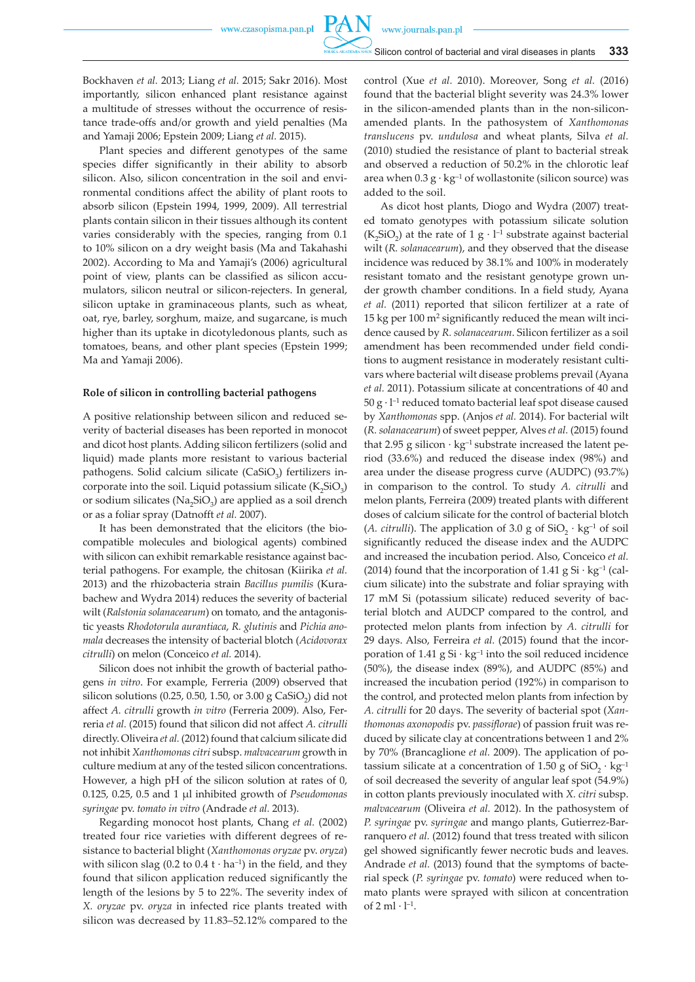**PAN** 

Bockhaven *et al.* 2013; Liang *et al.* 2015; Sakr 2016). Most importantly, silicon enhanced plant resistance against a multitude of stresses without the occurrence of resistance trade-offs and/or growth and yield penalties (Ma and Yamaji 2006; Epstein 2009; Liang *et al.* 2015).

Plant species and different genotypes of the same species differ significantly in their ability to absorb silicon. Also, silicon concentration in the soil and environmental conditions affect the ability of plant roots to absorb silicon (Epstein 1994, 1999, 2009). All terrestrial plants contain silicon in their tissues although its content varies considerably with the species, ranging from 0.1 to 10% silicon on a dry weight basis (Ma and Takahashi 2002). According to Ma and Yamaji's (2006) agricultural point of view, plants can be classified as silicon accumulators, silicon neutral or silicon-rejecters. In general, silicon uptake in graminaceous plants, such as wheat, oat, rye, barley, sorghum, maize, and sugarcane, is much higher than its uptake in dicotyledonous plants, such as tomatoes, beans, and other plant species (Epstein 1999; Ma and Yamaji 2006).

#### **Role of silicon in controlling bacterial pathogens**

A positive relationship between silicon and reduced severity of bacterial diseases has been reported in monocot and dicot host plants. Adding silicon fertilizers (solid and liquid) made plants more resistant to various bacterial pathogens. Solid calcium silicate (CaSiO<sub>3</sub>) fertilizers incorporate into the soil. Liquid potassium silicate  $(K_2SiO_3)$ or sodium silicates ( $Na<sub>2</sub>SiO<sub>3</sub>$ ) are applied as a soil drench or as a foliar spray (Datnofft *et al.* 2007).

It has been demonstrated that the elicitors (the biocompatible molecules and biological agents) combined with silicon can exhibit remarkable resistance against bacterial pathogens. For example, the chitosan (Kiirika *et al.* 2013) and the rhizobacteria strain *Bacillus pumilis* (Kurabachew and Wydra 2014) reduces the severity of bacterial wilt (*Ralstonia solanacearum*) on tomato, and the antagonistic yeasts *Rhodotorula aurantiaca*, *R. glutinis* and *Pichia anomala* decreases the intensity of bacterial blotch (*Acidovorax citrulli*) on melon (Conceico *et al.* 2014).

Silicon does not inhibit the growth of bacterial pathogens *in vitro*. For example, Ferreria (2009) observed that silicon solutions (0.25, 0.50, 1.50, or 3.00 g CaSiO<sub>2</sub>) did not affect *A. citrulli* growth *in vitro* (Ferreria 2009). Also, Ferreria *et al.* (2015) found that silicon did not affect *A. citrulli* directly. Oliveira *et al.* (2012) found that calcium silicate did not inhibit *Xanthomonas citri* subsp. *malvacearum* growth in culture medium at any of the tested silicon concentrations. However, a high pH of the silicon solution at rates of 0, 0.125, 0.25, 0.5 and 1 µl inhibited growth of *Pseudomonas syringae* pv. *tomato in vitro* (Andrade *et al.* 2013).

Regarding monocot host plants, Chang *et al.* (2002) treated four rice varieties with different degrees of resistance to bacterial blight (*Xanthomonas oryzae* pv. *oryza*) with silicon slag (0.2 to  $0.4 t \cdot ha^{-1}$ ) in the field, and they found that silicon application reduced significantly the length of the lesions by 5 to 22%. The severity index of *X. oryzae* pv. *oryza* in infected rice plants treated with silicon was decreased by 11.83–52.12% compared to the control (Xue *et al.* 2010). Moreover, Song *et al.* (2016) found that the bacterial blight severity was 24.3% lower in the silicon-amended plants than in the non-siliconamended plants. In the pathosystem of *Xanthomonas translucens* pv. *undulosa* and wheat plants, Silva *et al.*  (2010) studied the resistance of plant to bacterial streak and observed a reduction of 50.2% in the chlorotic leaf area when  $0.3$  g  $\cdot$  kg<sup>-1</sup> of wollastonite (silicon source) was added to the soil.

As dicot host plants, Diogo and Wydra (2007) treated tomato genotypes with potassium silicate solution  $(K<sub>2</sub>SiO<sub>2</sub>)$  at the rate of 1 g  $\cdot$  l<sup>-1</sup> substrate against bacterial wilt (*R. solanacearum*), and they observed that the disease incidence was reduced by 38.1% and 100% in moderately resistant tomato and the resistant genotype grown under growth chamber conditions. In a field study, Ayana *et al.* (2011) reported that silicon fertilizer at a rate of 15 kg per 100 m2 significantly reduced the mean wilt incidence caused by *R. solanacearum*. Silicon fertilizer as a soil amendment has been recommended under field conditions to augment resistance in moderately resistant cultivars where bacterial wilt disease problems prevail (Ayana *et al.* 2011). Potassium silicate at concentrations of 40 and  $50 \text{ g} \cdot \text{ l}^{-1}$  reduced tomato bacterial leaf spot disease caused by *Xanthomonas* spp. (Anjos *et al.* 2014). For bacterial wilt (*R. solanacearum*) of sweet pepper, Alves *et al.* (2015) found that 2.95 g silicon  $\cdot$  kg<sup>-1</sup> substrate increased the latent period (33.6%) and reduced the disease index (98%) and area under the disease progress curve (AUDPC) (93.7%) in comparison to the control. To study *A. citrulli* and melon plants, Ferreira (2009) treated plants with different doses of calcium silicate for the control of bacterial blotch (*A. citrulli*). The application of 3.0 g of  $SiO_2 \cdot kg^{-1}$  of soil significantly reduced the disease index and the AUDPC and increased the incubation period. Also, Conceico *et al.*  (2014) found that the incorporation of 1.41 g Si · kg<sup>-1</sup> (calcium silicate) into the substrate and foliar spraying with 17 mM Si (potassium silicate) reduced severity of bacterial blotch and AUDCP compared to the control, and protected melon plants from infection by *A. citrulli* for 29 days. Also, Ferreira *et al.* (2015) found that the incorporation of 1.41 g Si · kg−1 into the soil reduced incidence (50%), the disease index (89%), and AUDPC (85%) and increased the incubation period (192%) in comparison to the control, and protected melon plants from infection by *A. citrulli* for 20 days. The severity of bacterial spot (*Xanthomonas axonopodis* pv. *passiflorae*) of passion fruit was reduced by silicate clay at concentrations between 1 and 2% by 70% (Brancaglione *et al.* 2009). The application of potassium silicate at a concentration of 1.50 g of  $SiO_2 \cdot kg^{-1}$ of soil decreased the severity of angular leaf spot (54.9%) in cotton plants previously inoculated with *X. citri* subsp. *malvacearum* (Oliveira *et al.* 2012). In the pathosystem of *P. syringae* pv. *syringae* and mango plants, Gutierrez-Barranquero *et al.* (2012) found that tress treated with silicon gel showed significantly fewer necrotic buds and leaves. Andrade *et al.* (2013) found that the symptoms of bacterial speck (*P. syringae* pv. *tomato*) were reduced when tomato plants were sprayed with silicon at concentration of  $2$  ml  $\cdot$  l<sup>-1</sup>.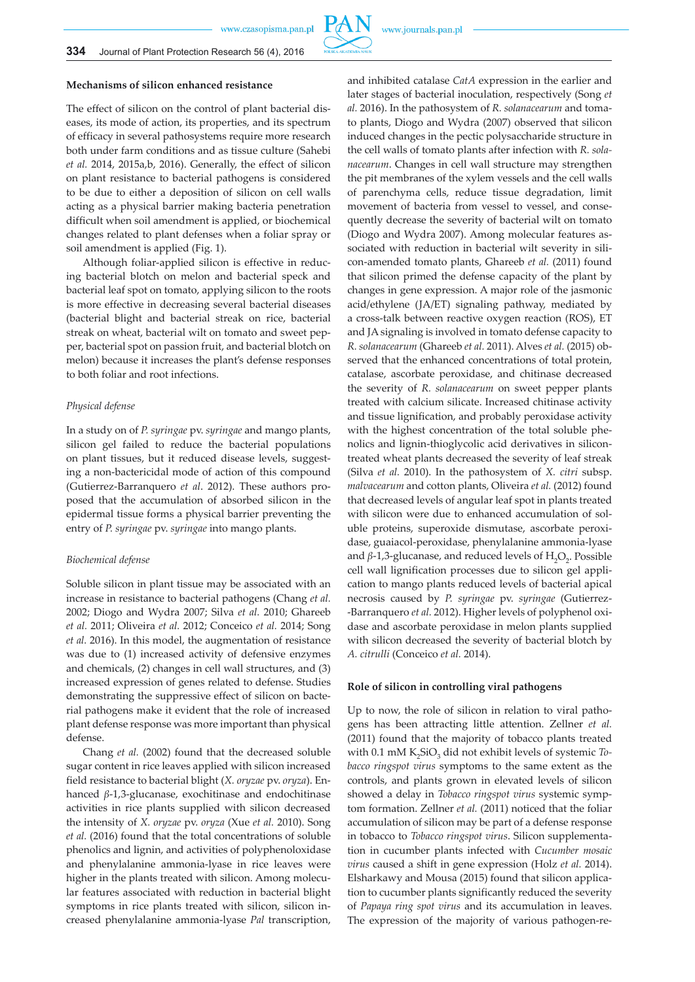## **Mechanisms of silicon enhanced resistance**

The effect of silicon on the control of plant bacterial diseases, its mode of action, its properties, and its spectrum of efficacy in several pathosystems require more research both under farm conditions and as tissue culture (Sahebi *et al.* 2014, 2015a,b, 2016). Generally, the effect of silicon on plant resistance to bacterial pathogens is considered to be due to either a deposition of silicon on cell walls acting as a physical barrier making bacteria penetration difficult when soil amendment is applied, or biochemical changes related to plant defenses when a foliar spray or soil amendment is applied (Fig. 1).

Although foliar-applied silicon is effective in reducing bacterial blotch on melon and bacterial speck and bacterial leaf spot on tomato, applying silicon to the roots is more effective in decreasing several bacterial diseases (bacterial blight and bacterial streak on rice, bacterial streak on wheat, bacterial wilt on tomato and sweet pepper, bacterial spot on passion fruit, and bacterial blotch on melon) because it increases the plant's defense responses to both foliar and root infections.

#### *Physical defense*

In a study on of *P. syringae* pv. *syringae* and mango plants, silicon gel failed to reduce the bacterial populations on plant tissues, but it reduced disease levels, suggesting a non-bactericidal mode of action of this compound (Gutierrez-Barranquero *et al*. 2012). These authors proposed that the accumulation of absorbed silicon in the epidermal tissue forms a physical barrier preventing the entry of *P. syringae* pv. *syringae* into mango plants.

#### *Biochemical defense*

Soluble silicon in plant tissue may be associated with an increase in resistance to bacterial pathogens (Chang *et al.* 2002; Diogo and Wydra 2007; Silva *et al.* 2010; Ghareeb *et al.* 2011; Oliveira *et al.* 2012; Conceico *et al.* 2014; Song *et al.* 2016). In this model, the augmentation of resistance was due to (1) increased activity of defensive enzymes and chemicals, (2) changes in cell wall structures, and (3) increased expression of genes related to defense. Studies demonstrating the suppressive effect of silicon on bacterial pathogens make it evident that the role of increased plant defense response was more important than physical defense.

Chang *et al.* (2002) found that the decreased soluble sugar content in rice leaves applied with silicon increased field resistance to bacterial blight (*X. oryzae* pv. *oryza*). Enhanced *β*-1,3-glucanase, exochitinase and endochitinase activities in rice plants supplied with silicon decreased the intensity of *X. oryzae* pv. *oryza* (Xue *et al.* 2010). Song *et al.* (2016) found that the total concentrations of soluble phenolics and lignin, and activities of polyphenoloxidase and phenylalanine ammonia-lyase in rice leaves were higher in the plants treated with silicon. Among molecular features associated with reduction in bacterial blight symptoms in rice plants treated with silicon, silicon increased phenylalanine ammonia-lyase *Pal* transcription,

**PAN** 

and inhibited catalase *CatA* expression in the earlier and later stages of bacterial inoculation, respectively (Song *et al.* 2016). In the pathosystem of *R. solanacearum* and tomato plants, Diogo and Wydra (2007) observed that silicon induced changes in the pectic polysaccharide structure in the cell walls of tomato plants after infection with *R. solanacearum*. Changes in cell wall structure may strengthen the pit membranes of the xylem vessels and the cell walls of parenchyma cells, reduce tissue degradation, limit movement of bacteria from vessel to vessel, and consequently decrease the severity of bacterial wilt on tomato (Diogo and Wydra 2007). Among molecular features associated with reduction in bacterial wilt severity in silicon-amended tomato plants, Ghareeb *et al.* (2011) found that silicon primed the defense capacity of the plant by changes in gene expression. A major role of the jasmonic acid/ethylene (JA/ET) signaling pathway, mediated by a cross-talk between reactive oxygen reaction (ROS), ET and JA signaling is involved in tomato defense capacity to *R. solanacearum* (Ghareeb *et al.* 2011). Alves *et al.* (2015) observed that the enhanced concentrations of total protein, catalase, ascorbate peroxidase, and chitinase decreased the severity of *R. solanacearum* on sweet pepper plants treated with calcium silicate. Increased chitinase activity and tissue lignification, and probably peroxidase activity with the highest concentration of the total soluble phenolics and lignin-thioglycolic acid derivatives in silicontreated wheat plants decreased the severity of leaf streak (Silva *et al.* 2010). In the pathosystem of *X. citri* subsp. *malvacearum* and cotton plants, Oliveira *et al.* (2012) found that decreased levels of angular leaf spot in plants treated with silicon were due to enhanced accumulation of soluble proteins, superoxide dismutase, ascorbate peroxidase, guaiacol-peroxidase, phenylalanine ammonia-lyase and  $\beta$ -1,3-glucanase, and reduced levels of  $H_2O_2$ . Possible cell wall lignification processes due to silicon gel application to mango plants reduced levels of bacterial apical necrosis caused by *P. syringae* pv. *syringae* (Gutierrez- -Barranquero *et al.* 2012). Higher levels of polyphenol oxidase and ascorbate peroxidase in melon plants supplied with silicon decreased the severity of bacterial blotch by *A. citrulli* (Conceico *et al.* 2014).

#### **Role of silicon in controlling viral pathogens**

Up to now, the role of silicon in relation to viral pathogens has been attracting little attention. Zellner *et al.*  (2011) found that the majority of tobacco plants treated with 0.1 mM K<sub>2</sub>SiO<sub>2</sub> did not exhibit levels of systemic *Tobacco ringspot virus* symptoms to the same extent as the controls, and plants grown in elevated levels of silicon showed a delay in *Tobacco ringspot virus* systemic symptom formation. Zellner *et al.* (2011) noticed that the foliar accumulation of silicon may be part of a defense response in tobacco to *Tobacco ringspot virus*. Silicon supplementation in cucumber plants infected with *Cucumber mosaic virus* caused a shift in gene expression (Holz *et al.* 2014). Elsharkawy and Mousa (2015) found that silicon application to cucumber plants significantly reduced the severity of *Papaya ring spot virus* and its accumulation in leaves. The expression of the majority of various pathogen-re-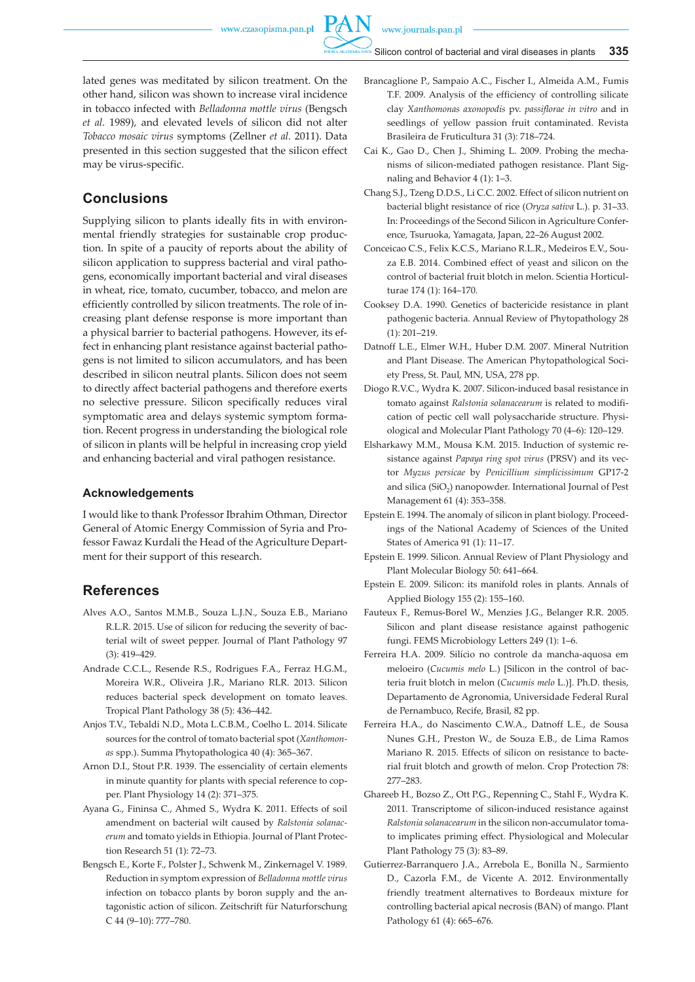

lated genes was meditated by silicon treatment. On the other hand, silicon was shown to increase viral incidence in tobacco infected with *Belladonna mottle virus* (Bengsch *et al.* 1989), and elevated levels of silicon did not alter *Tobacco mosaic virus* symptoms (Zellner *et al.* 2011). Data presented in this section suggested that the silicon effect may be virus-specific.

# **Conclusions**

Supplying silicon to plants ideally fits in with environmental friendly strategies for sustainable crop production. In spite of a paucity of reports about the ability of silicon application to suppress bacterial and viral pathogens, economically important bacterial and viral diseases in wheat, rice, tomato, cucumber, tobacco, and melon are efficiently controlled by silicon treatments. The role of increasing plant defense response is more important than a physical barrier to bacterial pathogens. However, its effect in enhancing plant resistance against bacterial pathogens is not limited to silicon accumulators, and has been described in silicon neutral plants. Silicon does not seem to directly affect bacterial pathogens and therefore exerts no selective pressure. Silicon specifically reduces viral symptomatic area and delays systemic symptom formation. Recent progress in understanding the biological role of silicon in plants will be helpful in increasing crop yield and enhancing bacterial and viral pathogen resistance.

## **Acknowledgements**

I would like to thank Professor Ibrahim Othman, Director General of Atomic Energy Commission of Syria and Professor Fawaz Kurdali the Head of the Agriculture Department for their support of this research.

# **References**

- Alves A.O., Santos M.M.B., Souza L.J.N., Souza E.B., Mariano R.L.R. 2015. Use of silicon for reducing the severity of bacterial wilt of sweet pepper. Journal of Plant Pathology 97 (3): 419–429.
- Andrade C.C.L., Resende R.S., Rodrigues F.A., Ferraz H.G.M., Moreira W.R., Oliveira J.R., Mariano RLR. 2013. Silicon reduces bacterial speck development on tomato leaves. Tropical Plant Pathology 38 (5): 436–442.
- Anjos T.V., Tebaldi N.D., Mota L.C.B.M., Coelho L. 2014. Silicate sources for the control of tomato bacterial spot (*Xanthomonas* spp.). Summa Phytopathologica 40 (4): 365–367.
- Arnon D.I., Stout P.R. 1939. The essenciality of certain elements in minute quantity for plants with special reference to copper. Plant Physiology 14 (2): 371–375.
- Ayana G., Fininsa C., Ahmed S., Wydra K. 2011. Effects of soil amendment on bacterial wilt caused by *Ralstonia solanacerum* and tomato yields in Ethiopia. Journal of Plant Protection Research 51 (1): 72–73.
- Bengsch E., Korte F., Polster J., Schwenk M., Zinkernagel V. 1989. Reduction in symptom expression of *Belladonna mottle virus* infection on tobacco plants by boron supply and the antagonistic action of silicon. Zeitschrift für Naturforschung C 44 (9–10): 777–780.
- Brancaglione P., Sampaio A.C., Fischer I., Almeida A.M., Fumis T.F. 2009. Analysis of the efficiency of controlling silicate clay *Xanthomonas axonopodis* pv. *passiflorae in vitro* and in seedlings of yellow passion fruit contaminated. Revista Brasileira de Fruticultura 31 (3): 718–724.
- Cai K., Gao D., Chen J., Shiming L. 2009. Probing the mechanisms of silicon-mediated pathogen resistance. Plant Signaling and Behavior 4 (1): 1–3.
- Chang S.J., Tzeng D.D.S., Li C.C. 2002. Effect of silicon nutrient on bacterial blight resistance of rice (*Oryza sativa* L.). p. 31–33. In: Proceedings of the Second Silicon in Agriculture Conference, Tsuruoka, Yamagata, Japan, 22–26 August 2002.
- Conceicao C.S., Felix K.C.S., Mariano R.L.R., Medeiros E.V., Souza E.B. 2014. Combined effect of yeast and silicon on the control of bacterial fruit blotch in melon. Scientia Horticulturae 174 (1): 164–170.
- Cooksey D.A. 1990. Genetics of bactericide resistance in plant pathogenic bacteria. Annual Review of Phytopathology 28 (1): 201–219.
- Datnoff L.E., Elmer W.H., Huber D.M. 2007. Mineral Nutrition and Plant Disease. The American Phytopathological Society Press, St. Paul, MN, USA, 278 pp.
- Diogo R.V.C., Wydra K. 2007. Silicon-induced basal resistance in tomato against *Ralstonia solanacearum* is related to modification of pectic cell wall polysaccharide structure. Physiological and Molecular Plant Pathology 70 (4–6): 120–129.
- Elsharkawy M.M., Mousa K.M. 2015. Induction of systemic resistance against *Papaya ring spot virus* (PRSV) and its vector *Myzus persicae* by *Penicillium simplicissimum* GP17-2 and silica (SiO<sub>2</sub>) nanopowder. International Journal of Pest Management 61 (4): 353–358.
- Epstein E. 1994. The anomaly of silicon in plant biology. Proceedings of the National Academy of Sciences of the United States of America 91 (1): 11–17.
- Epstein E. 1999. Silicon. Annual Review of Plant Physiology and Plant Molecular Biology 50: 641–664.
- Epstein E. 2009. Silicon: its manifold roles in plants. Annals of Applied Biology 155 (2): 155–160.
- Fauteux F., Remus-Borel W., Menzies J.G., Belanger R.R. 2005. Silicon and plant disease resistance against pathogenic fungi. FEMS Microbiology Letters 249 (1): 1–6.
- Ferreira H.A. 2009. Silício no controle da mancha-aquosa em meloeiro (*Cucumis melo* L.) [Silicon in the control of bacteria fruit blotch in melon (*Cucumis melo* L.)]. Ph.D. thesis, Departamento de Agronomia, Universidade Federal Rural de Pernambuco, Recife, Brasil, 82 pp.
- Ferreira H.A., do Nascimento C.W.A., Datnoff L.E., de Sousa Nunes G.H., Preston W., de Souza E.B., de Lima Ramos Mariano R. 2015. Effects of silicon on resistance to bacterial fruit blotch and growth of melon. Crop Protection 78: 277–283.
- Ghareeb H., Bozso Z., Ott P.G., Repenning C., Stahl F., Wydra K. 2011. Transcriptome of silicon-induced resistance against *Ralstonia solanacearum* in the silicon non-accumulator tomato implicates priming effect. Physiological and Molecular Plant Pathology 75 (3): 83–89.
- Gutierrez-Barranquero J.A., Arrebola E., Bonilla N., Sarmiento D., Cazorla F.M., de Vicente A. 2012. Environmentally friendly treatment alternatives to Bordeaux mixture for controlling bacterial apical necrosis (BAN) of mango. Plant Pathology 61 (4): 665–676.